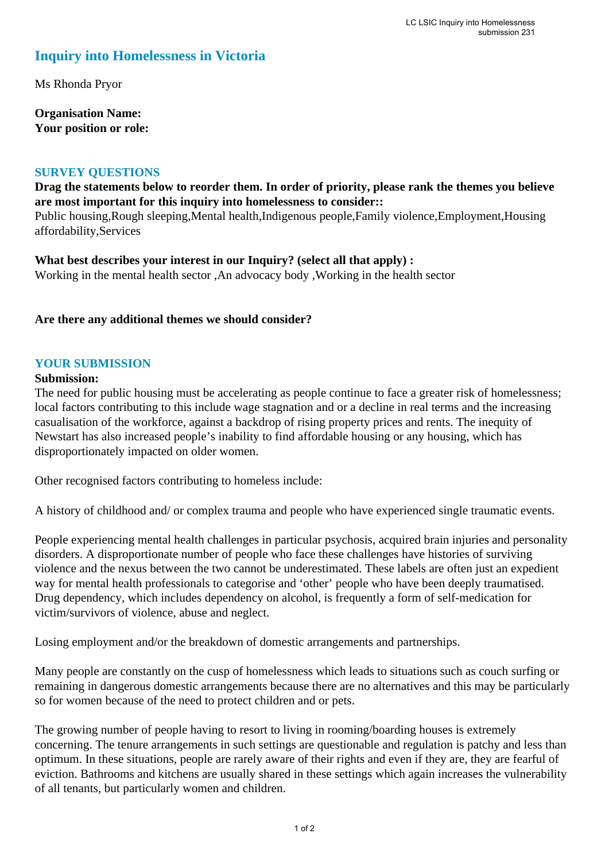# **Inquiry into Homelessness in Victoria**

Ms Rhonda Pryor

**Organisation Name: Your position or role:** 

#### **SURVEY QUESTIONS**

## **Drag the statements below to reorder them. In order of priority, please rank the themes you believe are most important for this inquiry into homelessness to consider::**

Public housing,Rough sleeping,Mental health,Indigenous people,Family violence,Employment,Housing affordability,Services

**What best describes your interest in our Inquiry? (select all that apply) :**  Working in the mental health sector ,An advocacy body ,Working in the health sector

### **Are there any additional themes we should consider?**

### **YOUR SUBMISSION**

#### **Submission:**

The need for public housing must be accelerating as people continue to face a greater risk of homelessness; local factors contributing to this include wage stagnation and or a decline in real terms and the increasing casualisation of the workforce, against a backdrop of rising property prices and rents. The inequity of Newstart has also increased people's inability to find affordable housing or any housing, which has disproportionately impacted on older women.

Other recognised factors contributing to homeless include:

A history of childhood and/ or complex trauma and people who have experienced single traumatic events.

People experiencing mental health challenges in particular psychosis, acquired brain injuries and personality disorders. A disproportionate number of people who face these challenges have histories of surviving violence and the nexus between the two cannot be underestimated. These labels are often just an expedient way for mental health professionals to categorise and 'other' people who have been deeply traumatised. Drug dependency, which includes dependency on alcohol, is frequently a form of self-medication for victim/survivors of violence, abuse and neglect.

Losing employment and/or the breakdown of domestic arrangements and partnerships.

Many people are constantly on the cusp of homelessness which leads to situations such as couch surfing or remaining in dangerous domestic arrangements because there are no alternatives and this may be particularly so for women because of the need to protect children and or pets.

The growing number of people having to resort to living in rooming/boarding houses is extremely concerning. The tenure arrangements in such settings are questionable and regulation is patchy and less than optimum. In these situations, people are rarely aware of their rights and even if they are, they are fearful of eviction. Bathrooms and kitchens are usually shared in these settings which again increases the vulnerability of all tenants, but particularly women and children.